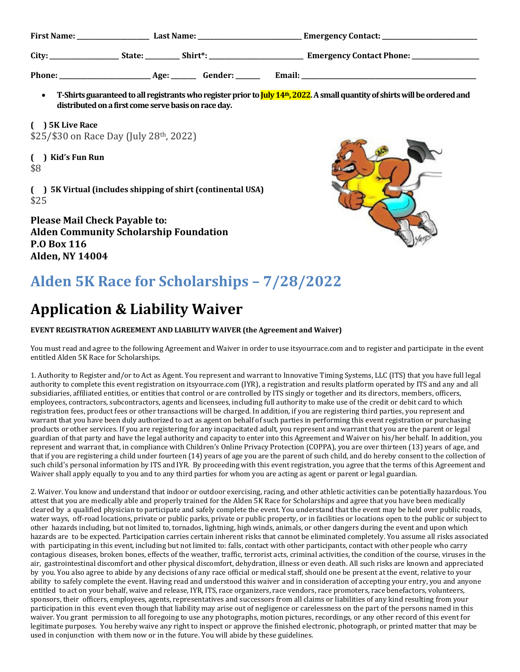| <b>First Name:</b><br><b>Last Name:</b> |        |         | <b>Emergency Contact:</b>         |
|-----------------------------------------|--------|---------|-----------------------------------|
| City:                                   | State: | Shirt*: | <b>Emergency Contact Phone: _</b> |
| <b>Phone:</b>                           | Age:   | Gender: | Email:                            |

**•** T-Shirts guaranteed to all registrants who register prior to  $\frac{I_{\text{uly}}}{4}$ , 2022. A small quantity of shirts will be ordered and **distributedonafirst comeservebasisonraceday.**

**( ) 5K Live Race** \$25/\$30 on Race Day (July 28th, 2022)

**( ) Kid's Fun Run** \$8

**( ) 5K Virtual (includes shipping of shirt (continental USA)** \$25

**Please Mail Check Payable to: Alden Community Scholarship Foundation P.O Box 116 Alden, NY 14004**



## **Alden 5K Race for Scholarships – 7/28/2022**

## **Application & Liability Waiver**

## **EVENT REGISTRATION AGREEMENT AND LIABILITY WAIVER (the Agreement and Waiver)**

You must read and agree to the following Agreement and Waiver in order to use itsyourrace.com and to register and participate in the event entitled Alden 5K Race for Scholarships.

1. Authority to Register and/or to Act as Agent. You represent and warrant to Innovative Timing Systems, LLC (ITS) that you have full legal authority to complete this event registration on itsyourrace.com (IYR), a registration and results platform operated by ITS and any and all subsidiaries, affiliated entities, or entities that control or are controlled by ITS singly or together and its directors, members, officers, employees, contractors, subcontractors, agents and licensees, including full authority to make use of the credit or debit card to which registration fees, product fees or other transactions will be charged. In addition, if you are registering third parties, you represent and warrant that you have been duly authorized to act as agent on behalf of such parties in performing this event registration or purchasing products or other services. If you are registering for any incapacitated adult, you represent and warrant that you are the parent or legal guardian of that party and have the legal authority and capacity to enter into this Agreement and Waiver on his/her behalf. In addition, you represent and warrant that, in compliance with Children's Online Privacy Protection (COPPA), you are over thirteen (13) years of age, and that if you are registering a child under fourteen (14) years of age you are the parent of such child, and do hereby consent to the collection of such child's personal information by ITS and IYR. By proceeding with this event registration, you agree that the terms of this Agreement and Waiver shall apply equally to you and to any third parties for whom you are acting as agent or parent or legal guardian.

2. Waiver. You know and understand that indoor or outdoor exercising, racing, and other athletic activities can be potentially hazardous. You attest that you are medically able and properly trained for the Alden 5K Race for Scholarships and agree that you have been medically cleared by a qualified physician to participate and safely complete the event. You understand that the event may be held over public roads, water ways, off-road locations, private or public parks, private or public property, or in facilities or locations open to the public or subject to other hazards including, but not limited to, tornados, lightning, high winds, animals, or other dangers during the event and upon which hazards are to be expected. Participation carries certain inherent risks that cannot be eliminated completely. You assume all risks associated with participating in this event, including but not limited to: falls, contact with other participants, contact with other people who carry contagious diseases, broken bones, effects of the weather, traffic, terrorist acts, criminal activities, the condition of the course, viruses in the air, gastrointestinal discomfort and other physical discomfort, dehydration, illness or even death. All such risks are known and appreciated by you. You also agree to abide by any decisions of any race official or medical staff, should one be present at the event, relative to your ability to safely complete the event. Having read and understood this waiver and in consideration of accepting your entry, you and anyone entitled to act on your behalf, waive and release, IYR, ITS, race organizers, race vendors, race promoters, race benefactors, volunteers, sponsors, their officers, employees, agents, representatives and successors from all claims or liabilities of any kind resulting from your participation in this event even though that liability may arise out of negligence or carelessness on the part of the persons named in this waiver. You grant permission to all foregoing to use any photographs, motion pictures, recordings, or any other record of this event for legitimate purposes. You hereby waive any right to inspect or approve the finished electronic, photograph, or printed matter that may be used in conjunction with them now or in the future. You will abide by these guidelines.